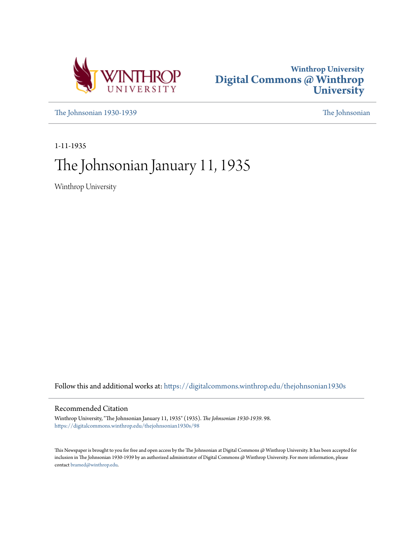



[The Johnsonian 1930-1939](https://digitalcommons.winthrop.edu/thejohnsonian1930s?utm_source=digitalcommons.winthrop.edu%2Fthejohnsonian1930s%2F98&utm_medium=PDF&utm_campaign=PDFCoverPages) [The Johnsonian](https://digitalcommons.winthrop.edu/thejohnsonian_newspaper?utm_source=digitalcommons.winthrop.edu%2Fthejohnsonian1930s%2F98&utm_medium=PDF&utm_campaign=PDFCoverPages)

1-11-1935

# The Johnsonian January 11, 1935

Winthrop University

Follow this and additional works at: [https://digitalcommons.winthrop.edu/thejohnsonian1930s](https://digitalcommons.winthrop.edu/thejohnsonian1930s?utm_source=digitalcommons.winthrop.edu%2Fthejohnsonian1930s%2F98&utm_medium=PDF&utm_campaign=PDFCoverPages)

# Recommended Citation

Winthrop University, "The Johnsonian January 11, 1935" (1935). *The Johnsonian 1930-1939*. 98. [https://digitalcommons.winthrop.edu/thejohnsonian1930s/98](https://digitalcommons.winthrop.edu/thejohnsonian1930s/98?utm_source=digitalcommons.winthrop.edu%2Fthejohnsonian1930s%2F98&utm_medium=PDF&utm_campaign=PDFCoverPages)

This Newspaper is brought to you for free and open access by the The Johnsonian at Digital Commons @ Winthrop University. It has been accepted for inclusion in The Johnsonian 1930-1939 by an authorized administrator of Digital Commons @ Winthrop University. For more information, please contact [bramed@winthrop.edu](mailto:bramed@winthrop.edu).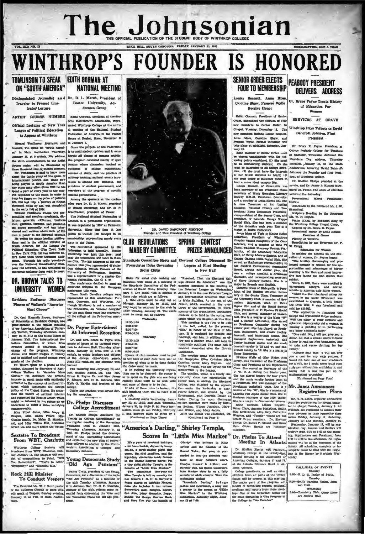# The Johnsonian SUBSCRIPTION, SLOP A TEAR

VOL. XII; NO. II

# **WINTHROP'S FOUNDER IS HONORED** TOMUNSON TO SPEAK EDITH GORMAN AT ON "SOUTH AMERICA"

### $d$  Jour eler to Present Illustested Lecture

ARTIST COURSE NUMBER Edith Corman, presi

Official Lecturer of New York sague of Political Education to Appear at Winthrop

ward Tomlinson, journalist, and to Jan

broadcast from WBT, Character, con-<br>day, January 13. The program will con-<br>and all compositions by Friml, "Will Young Democrats Study" hy," and "Giannini Mis.

# **NATIONAL MEETING** alist and Dr. D. L. Marsh, President of

Boston University, Addresses Group

nt of the I EGIKI Ownman, president of the suc-<br>dent Owentment Aasociation, repre-<br>sented Winthrop College at the annu-<br>al meeting of the National Student<br>Pederation of America in the Parker Sleuse at Boston, Mass., December 28

"Old Age Pensions"

Nancy Creating Manufacturer Many Creating presidents of the Young<br>
Rock Hill Minister Democratic Manufacture of the order of the Stone<br>
The Reverend Mr. W. J. Rod, pastor de club Testeday afference, January<br>
The Reverend M



| 12:30-1:15     |                |
|----------------|----------------|
| $4:00 - 6:00$  |                |
| $6:30 - 7:00$  |                |
| $9:50 - 10:20$ |                |
|                | <b>Thursda</b> |
| .              |                |

 $\begin{tabular}{l|c|c|c|c} \multicolumn{1}{c}{\textbf{SCOPCS-}\textbf{IN} & $\textbf{L}_1$}\\ \multicolumn{1}{c}{\textbf{N}} & \textbf{a} & \textbf{y} & \textbf{y} & \textbf{z} & \textbf{z} & \textbf{z} & \textbf{z} & \textbf{z} \\ \multicolumn{1}{c}{\textbf{s}} & \textbf{h} & \textbf{h} & \textbf{h} & \textbf{h} & \textbf{h} & \textbf{z} & \textbf{z} & \textbf{z} \\ \multicolumn{1}{c}{\textbf{s}} & \textbf{h} & \textbf{h}$ 

Aristo avance avantamental aristo avantamental aristo de Malghis of the Reand Table, the gang du permanental contract continues of King Arthur's court.

# SENIOR ORDER ELECTS PEABODY PRESIDENT **FOUR TO MEMBERSHIP**

uise Bennett, Anne Mo Carolla e Shaw, Frances Wytle Receive Honor

Edith Gorman, Pres dent of Benk Order, announced the election of four new members to Senior Order. to Winthrop Pays Tribute to David r members include Louise St. 2006.<br>ne Mova, Garoline Shaw, and<br>noss Wylie. Formal initiation will Pro take place at midnight, Saturday, Jan-<br>uary 12. take pla

Dr. Shelton Phelps will represent complete must be fulled with the Register of the terms in the terms in the likewise at the terms in the likewise state and the terms in the likewise of the state of the state and the stat lanta, Georgia.

, querussion la<br>age in Two D

**DELIVERS ADDRESS** Dr. Bruce Payne Treats History of Education For

Wome

SERVICES AT CRAVE

Bancroft Johnson, First Preside nt.

Dr. Bruce R. Payne, President<br>George Peabody College for Teach

CALL/DAR OF EVENTS 5:00--U. D. C. Parlor of South. son Hall<br>Wednesday<br>-Chemistry Club, Curry Liter-<br>ary Society Hall.

inne of Ring Arthur's court.<br>
Menjon himself is Arthur: and Northur and Northur Theorem Guineers.<br>
Nies Marker risks in on a fully limit particular according<br>
Arthur risks in on a fully continued by the symmetric<br>  $\sim$ Art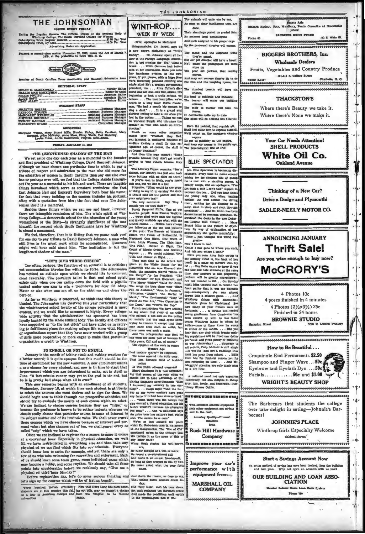THE JOHNSONIAN

ed as second-class matter November 21, 1923, under the Act of March 3<br>1979, at the postoffice in Rock Hill, S. C.



**Daddy** 

**FRA Inv** 

your neighbor's lap?"<br>"Be vary courtecus.

**Purely Person** 

nd library metho

ted exa

### of Bouth Care

| <b>EDITORIAL STAFF</b>                 |
|----------------------------------------|
|                                        |
|                                        |
|                                        |
|                                        |
|                                        |
| i be                                   |
| <b>BUSINESS STAFF</b><br>i m           |
|                                        |
|                                        |
|                                        |
|                                        |
|                                        |
| or reasons or app. Circulation Manager |

## PRIDAY, JANUARY 11, 19

## THE LENGTHENED SHADOW OF THE MAN

The LENGTHENENED SHADOW OF The memorial to the founder<br>and first president of Winthrop College, David Bancroft Johnson.<br>Although we have chosen one particular time in which to pay a<br>tribute of respect and admiration to the the education of women in South Carolina than any one else ever<br>has or perhaps ever will, we feel that the College stands through-<br>out the year as a memorial to his life and work. There are tangible<br>things hereabout which sonian itself is a memorial.

sonian itself is a memorial.<br>
Besides these things which we can see and know, however,<br>
Besides these things which we can see and know, however,<br>
there are intangible reminders of him. The whole split of Win-<br>
throp Colle st a monument.

is almost a monument.<br>We feel, therefore, that it is fitting that we pause each year<br>for one day to pay tribute to David Bancroft Johnson, a man who<br>still lives in the great work which he accomplished. Emerson<br>might well h

## "LET'S GIVE THREE CHEERS"

often, perhaps, the function of an editorial is to criticize:<br>mendation likewise lies within its forte. The Johnsonian Too often, perh yet con yet commendation inceverse lies within the torte. Insel of the comment most favorably. The prevalent belief is that real school spirit exists only when one can gallop down the field with a pigskin tucked under one can gall

As far as Winthrop is concerned, we think that this theory is blasted. The Johnsonian has observed this year particularly that the wholehearted school loyalty of the college personnel is most evident, and we would like to comment it highly. Every college-<br>wide activity that the administration has sponsored has been loyally backed by the whole student body. The faculty and officers<br>have aupported us "to the last ditch" and have aided us in carryhave aupp ing to fulfillment plans for making college life more vital. Heads of organizations report that they have never worked with a group<br>of girls more cooperative or more eager to make that particular

of graphizations report that they have never worked with a group<br>I and "an some schemation and the properties of properties of properties of properties are consider to Winthrop.<br>
To ENROLL OR NOT TO ENROLL (1992) and "The

some value; but mine cances out of ten, we snail, regret every so called "crip" which we have taken.<br>Often we are inclined to register for a course because it comes at a convenient hour. Especially in physical education, w should know how to swim for example, and yet there are only a few of us who take swimming for recreation and enjoyment. Each of us should learn some team game, some individual game which may become a hobby, and some rhythm. We should take all these points into consideration before we recklessly say, "Give me a physical ed third hour Monday!"

physical ed third hour Monday!"<br>
The Left and And that's the reason, we dave to say.<br>
He's sign up for course which will be of lasting benefit.<br>
He's sign up for course which will be of lasting benefit.<br>
Thus a day:<br>
Thus

THE JOHNSONIAN The entenate will enter one by one **WINTHROP.** done,<br>Their standings posted on g WEEK BY WEEK **TERR DRUG** By eminent local psychol logists. And each assigned to his proper cage (With Apologies to McIntyre) bs: Dr. Jarrell says h By the peror will engage. now known exclusively as "Nell's now known checkulerely as "Atelli and her mean the Postelland and the Postelland and the Postelland contents and the Postelland and the mean of the contents of the content of the content of the content of the content of t The monk and the elep **BIGGERS BROTHERS, Inc.** they're smart. But our pet director will have a heart; **Wholesale Dealers He'll** make the pedagogues set som store on<br>The poor old jackass, that worthy Fruits, Vegetables and Country Produce 501-3-5 S. College Street And map out of es they're fit to do  $= 1.3137$ For him and the la \*\*\*\*\*\*\*\*\*\*\*\*\* The dumbest beastie will have hi chance,<br>His bent to cultivate an<br>The beaver will enter **THACKSTON'S** The best description we've courses,<br>The mole to mining will, turn his<br>forces; ard in a long time: Eddie Cant sard in a long time: Eddie Canton<br>ga a duch a mouth hig smough to<br>ga a duch" . . . It is a ground at<br>orious feeling to take a cut when you<br>al in the notion. . . Things we can<br>without: People who hardduce the<br>estler as "one anta da Where there's Beauty we take it. Where there's None we make it. In d te up to da In domitories quite<br>Our bears will do no or but hi Even the polecat, that rogulah elf, **Shall feel quite free to express hims**<br>We'll count on the monkey's cam ection."<br>Punch or some other magazine<br>aybe says: "Pootball, they find<br>us invented in mediaeval England by<br>Idlers kicking a skull. In this en-**Your Car Needs Attention!** To get us publicity in the p<br>And keep our names in the p<br>The psychological Zoo of Ch ad by names in the pu<br>teal Zoo of Chit stened age, of course, the skull is no longer detached." And then this sage remark: "Some<br>grumble because they don't get what's<br>coming to 'em; others, because they **BLUE SPECTATOR** da"<br>
"The Literary Digest remarks: "For a charge, our lauder and back end back<br>
alone buttons with no obit on them."<br>
"If you've seem ta histy, you've heard<br>
Dia one, but we like it a lot:<br>
Eliquette: "What would be the pr Mr. Blue Spectator is becoming discouraged. Every time he noses are saking for the choicest bits of gossi same that is matched and a product our couply couply and the issue of the last and a production of the point of the point of the point of the point of the point of the point of the point of the point of the point of the p be is met with a startling so ouble you for the duck?" May<br>Purely Persons! Note: **SADLER-NEELY MOTOR CO.** al Piffle: One of our vorite prople: Miss Fannie Watkins methods age what with the and library methods age what with the following as the basis with the following and too the best performed of the pear: The Barrels of Wingols of Robinson<br>is the total mass of Robinson and the following and the pear: The great-<br>Now I know it isn't.<br>'Cause I has gone to where you ain't,<br>'Cause I has gone to where I isn't!'<br>Have you seen Alice Safy trying to<br>see infinity (that is, the back of her<br>that in make on mirrors) has imposed to **Thrift Sale!** head) in a make up manus<br>it! ... Ora Belle wante to kn or? Just try w 1f w **McCRORY'S** ne at the sa can lo ve and hate some can love and hate someons at the<br>time. Any answers to this perpl<br>problem will be greatly apprecia<br>her box number is 456... On 81 On Rund night Miss Georgie had to r night Miss Georgie had to remind that the Solemburgh<br>from particularly due to be Solemburgh (as consequently) also was all<br>day-consequently also was a drawn name of the Michael Wilhiren particular<br>diamonds given for Christ ed he Music," "The Continental," "Stay 'As<br>Sweet As You Are, "Two Cigareties in the Dark," and "You're the Top."<br>the Dark," and "You're the Top."<br>Punch contributes: We have nothing<br>to any shout that story of an artist who painted a cob-web on the celling<br>so realistic that the maid spent hours<br>trying to remove it except that there young genuerana rom Unaresson has<br>been caught up with hy the three young Winthrep ladies to whom he<br>writtes--mane of them knew he wrote<br>to either of the othern. . . . Did you<br>hear that any club which breaks rushmay have been such an artist, buttere never was such a maid. have been such an artist, bu has worn the same pair of to ,,,,,,,,,,,,,,,,,,,,,

Near that any club which hereads runk-<br>range regulations will be fined one dedicated in the conduction of<br>the regulations will be fined one dedicated in the Johnsun<br>star)  $r$ . Conducting the sum of the property, religit r A cultured mund not only appraise<br>judiciously, but also delights in thing<br>true, just, lovely, and honorable.--Re nine Coffin Jenry Bl **SECURESCESSERIES** at out of date ata other equ<br>nd in the da uk.

from **Rock Hill Hardware** Company

**TARBULANARRESHARGER** \*\*\*\*\*\*\*\*\*\*\*\*\*\*\*\*\*\*\*\*\*\*\* Improve your car's performance with

equipment from-**MARSHALL OIL COMPANY** 



122 E. Main Bl.

 $\lambda$ 

J.

 $\overline{\phantom{a}}$ 

 $\epsilon$ 

Drive a Dodge and Plymouth!

**ANNOUNCING JANUARY** 

Are you wise enough to buy now?



## 4 Photos 10c 4 poses finished in 4 minutes 4 Photos (21/2x31/2) 25c Finished in 24 hours **BROWNIE STUDIO**

Next to Long

How to Be Beautiful ... Croquinole End Permanents \$2.50

Shampoo and Finger Wave... 50c Eyebrow and Eyelash Dye.... 50c Facials...........50c and \$1.00

## **WRIGHT'S BEAUTY SHOP**

The Barbecues that students the college over take delight in eating-Johnnie's Barbecues!

## **JOHNNIE'S PLACE**

Winthrop Girls Especially Welcome Caldwell Street

**Start a Savings Account Now** 

No better method of saving has ever been devised than<br>and loan plan. Why not open an account with

OUR BUILDING AND LOAN ASSOCIATION

teral Nome Lean I Phone 758

# where the same of the same of the same of the same of the same of the same of the same of the same of the same of the same of the same of the same same of the same same of the same same of the same same of the same same of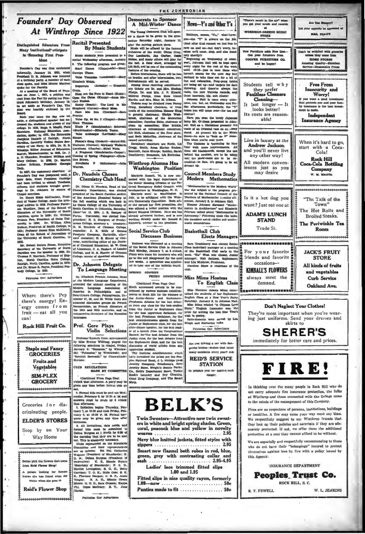**Distingui** d Educators From Many InstitutionsPurticipate in 'Honoring First Pres-

## **Ident**

er's Day was first celebrate nformally, January 10, 1921, when<br>President D. B. Johnson was honored at a birthe

Clear spoke, and Mile Bonard of Trus- Department the spoke for the Fractier disk and the Spoke for the Bonard of Trus- (The Allian Space of June 21 Bonard of Trus- (New Allian Space of June 21: 1994), a petition was Place

and.<br>Each year since the day was set.<br>Hop, a distinguished speaker has ad-<br>tesed the students and guests of the<br>Hege. In 1922, Eugh S. Magill, Field National Edu n Asso poke; in 1923, the Hon<br>Daniels of leigh, North hus Daniel<br>Ina, former<br>y of the Na<br>hip, Editor<br>n, Massach<br>Chandler, l ted Fits  $-8$ erly United States Sec-<br>Mavy; in 1924, Dr. H. E.<br>pr Journal of Education.<br>chusetts; in 1925, Dr. J.<br>. President William and er, Pre A. O. O College; Prencent Williams<br>College; In 1926, Dr. Ma<br>Brittain, President Clea

von.<br>In 1927, the customary observe In 1927, the customary observant of<br>Founder's Day was postponed until a<br>ster date, when President Coolidge<br>and been invited to attend. Teachers, nd staidents brought gree Dr. Johnson by means of

ings to Dr. Johnson by means of Capital Cornelists.<br>
Dr. Ramy Rohe Mockenkon, Prest<br>
Dr. Ramy Rohe Mockenkon, Prestand estimated for Marker College, made the principal<br>
and settings in 1932. Professor Patter-<br>
space of th raity of South Car

1971.<br>Mar. Robert Burton House, Executive<br>Becrelary of the University of North Darubina was the speaker in 1939. Dr.<br>Thomas P. Harrison, Professor of Eng-<br>Ish, North Oarollius State College. h Camilin spoke in 1934; r. Bruce R. Payne, Pr. Silege, in 1935. eddent Per

Where there's Pep

there's energy! En-

ergy comes from

 $f$ ruit — eat all vou

Rock Hill Fruit Co.

**Staple and Fancy** 

**GROCERIES** 

Fruits and

Vegetables

**SIM-PLEX** 

**GROCERY** 

Groceries for dis-

criminating people.

**ELDER'S STORES** 

Stop by on Your

Way Home

pick the flowers that

A person looking for flower

knows she has found what she wants when she goes to

Reid's Flower Shop

from Reid Flower Shop!

can!

Patronize One Adv

dents were presented in recital Wednesday afternoon, January<br>9. The following program was given:<br>Gcarf Dance (Chaminade)-Mary

**By Music Students** 

**Recital Presented** 

Carolyn Ulmer. Valse Elizabeth Welch.

 $(Arenaky)$  - Eli

Rhea<br>Etu Rhea Thomas.<br>Etude P (Mendelssohn); Sch<br>Mendelssohn)--Efizabeth Tester.<br>Vaise Arabesque (Levitzaki)--

Sistare.<br>
Fisheron's Song (Godard)--Matrel Hill.<br>
Nocturne (Curran); MyCady Walks in<br>
Loveliness (Charles)--Ethel Faria.<br>
A Fragment (Mendelssohn-Caspar);<br>
Coming of Spring (Palmgren)---Chrisline Brown

Novellette P (Schumann)-Juli

Dr. Naudain Chosen **Chemistry Club Head** 

Criminal Communication of the Criminal Criminal Criminal Criminal Criminal Criminal Criminal Criminal Criminal Criminal Criminal Criminal Criminal Criminal Criminal Criminal Criminal Criminal Criminal Criminal Criminal Cri Products Company, Hartsville, alternate councilor; H. E. Shiver of Converse, contributing editor of the Journal of Chemical Education; M. W. Corol J. J. Therefore, C. A. Haskew, of Land College, and H. S. Hunter of Clen<br>College, senate of chemical education

# Dr. Johnson Delegate<br>To Language Meeting

Dr. Elle beth Priench Jol

Prof. Gore Plays Violin Selections

Professor Emmett Gore, accompanied<br>by Miss Ermine Willfong, played the<br>following selections in chapel, Priday,<br>January 4: "Romance," by Wienlawski;<br>Shutawe," by Wienlawski; and<br>"Spaniah Berenade," by Wienlawski; and<br>"Spani Kreisler.

CLUB REGULATIONS<br>MADE BY COMMITTEE

Continued From Page One)<br>o'clock that afternoon. A party may be<br>given any time before formal olds go

4. Formal blds must be sent out W (ay, February 8, by 10:30 A. M. and **UTURNER** 

answers must be myde by 5 o'clock<br>that afternoon.<br>5. Initiation begins Thursday, Pebruary 7, at 12:30 and ends Priday, Pebruary 7, at 12:30 and ends Priday, Pebruary 8, at 10:30 P. M. Pormal ban-<br>queta may be given any tim

initiation. due cards, and<br>formal bids must be submitted to<br>formal bids must be submitted to<br>pelma Burgess at 1 Nerth by \$:30 of<br>the morning that they are to be standards<br>out. This is absolutely necessary.<br>Clemmittee and t

out. This is absolutely necessary.<br>Countility and their represented on the Standards<br>are as follows: The Phi, Catherine are as follows: The Phi, Catherine<br>Wagnon (President of Standards); K. O. N., Delina Burgesse Creation No. 1991, A. O. D., Bolder Cone; B. K.<br>Tengue; B. A. D., Minnle Green<br>Moore; O. G. D., Sara Crosson; Kapp moore; O. G. D., Sara Crosson; Kapper, Phi, Copie McGrary; B. T., Jan

Patropine Our Advert

The Young Democrat Club will spon or a dance to be given in the gym nasium Saturday night, January 12.

THE JOHNSONIAN

are a dance to be given in the gram-<br> $\pm$  and the symmetric and the symmetric material mass<br>increase and the symmetric symmetric symmetric symmetric symmetric order<br>and our point of the symmetric order of the symmetric or rd committee.

record commuttee.<br>
Dormitory chairmen are North, Lib<br>
Oregg: South, Amas Marion Bushee;<br>
Bancroft, Janie Sharpe; Roddey, Sarah<br>
Touchberry; Breazeale, Lib Eerbulas.

Winthrop Alumna Has **Washington Position** 

ell, '34, is now a Marjorie Ra

Marjorie Russell, "As is now con-<br>real-space with the legal department of the Better Bousing Division of the National<br>mergency Russian Technology Russian better model and the best-<br>bendes are to weaking<br>toon. D. C. In the

## **Social Service Club Discusses Busines**

us was discussed at a me Business was discussed at a meeting<br>of the Social Service Glub in Johnson<br>Hall Monday, January 7, at 5 oclock.<br>Plans were made for members who will<br>go to the mill playmound for the next<br>few weeks. A openities was appointe

**SPRING CONTEST** 

out ones recommen decommer, for the<br>bunder or Sephemore class, for the best<br>after-dinner speaker, for the best read-Junior or Stephamore class, for the best party and a different<br>matrix position, for the best reader of a speech from the Congression<br>in Record, for the best reader Record, for the best dehaber from the<br>Junior class, for t

Jewelry Store, Wright's Besuty Pariot.<br>Co., Belk's Department Store, Tucker<br>Rock's Laundry and Dry Cleaning,<br>Good Drug Company, and The Smart

day after ons, particularly, the hopes you will o chatter) and the control of the control of the control have been the lower box. Graham presented to column the control and of the control and of the control of an orientation of the control of the control of the control o

News-Y's and Other Y's

ya, e

 $m = 25m^2$ 

tressed up **Council Members Study** Modern Mathematics

was the subject of the program pre-<br>sented by the National Council of the sended by the National Council of the<br>respect of Mathematics  $\alpha$ ,<br>endogs afferment on Mathematics  $\beta$ , in Johnson Hall, Elen<br>non- January 8, in Johnson Hall, Elenary follows of the matrice in Architecture<br>" and Elizabet

Basketball Club

**Miss Mims Hostess** 

Miss Ploye ce Adama Mims enter-Miss Florence Adams Mins enter-<br>Line the students of her Sophonore<br>English Class at a New Year's Parity<br>Suturday, January 8, in Johnson Hall.<br>Miss Mins related "A Ohiese Love<br>Story." Virginia Lancaster won the<br>prize for wi English Cla

Patronize Our Advertisers

Are you driving a car with dangerous brakes brakes that cause many accidents every year? Ask **REID'S SERVICE STATION** 

to prepare your car again danger.

# **BELK'S**

Attractive new twin Twin<sub>S</sub> ers in white and bright spring shades. Green,<br>coral, peacock blue and yellow in novelty weaves ....... . .................... 2.95 Navy blue knitted jackets, fitted styles with zippers ................................... 2.95 Smart new flannel bath robes in red, blue, 

Ladies' lace trimmed fitted slips 1.00 and 1.95

Panties made to fit ..............  $.50<sub>c</sub>$ 



There's means that you get your music

**WORKMAN-GREENE MUSIC** 

**STORE** 

Are You II **IT annottie he as** 

**NES. POACH** 

FIRE!

In thinking over the many people in Rock Hill who do not carry adequate fire insurance protection, the folks at Winthrop and those connected with the College came to the minds of the management of this Company.

Fires are no respectors of persons, institutions, buildings or localities. A fire may come your way most any time. We respectfully suggest to our Winthrop friends that they look up their policies and ascertain if they are adequately protected. If not, we offer them the additional protection at a cost they cannot afford to be without.

We are especially and respectfully recommending to those who do not have their "belongings" insured to protect themselves against loss by fire with a policy issued by this Agency.

**INSURANCE DEPARTMENT** Peoples Trust Co. ROCK HILL, S. C. R. T. FEWELL W. L. JENKINS